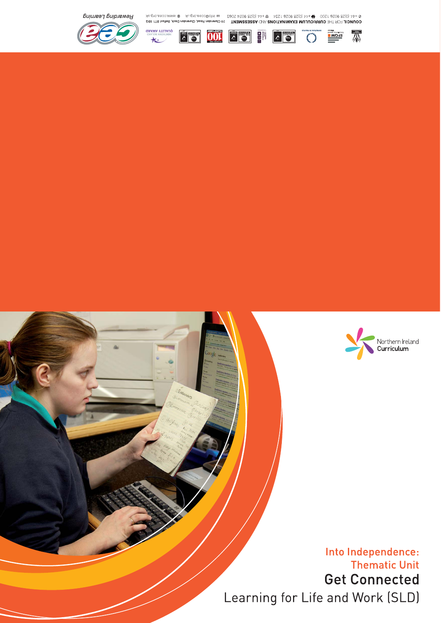



Into Independence: **Thematic Unit Get Connected** Learning for Life and Work (SLD)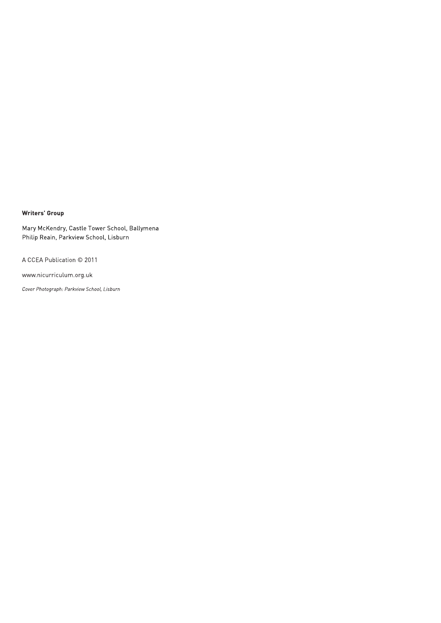#### **Writers' Group**

Mary McKendry, Castle Tower School, Ballymena Philip Reain, Parkview School, Lisburn

A CCEA Publication © 2011

www.nicurriculum.org.uk

Cover Photograph: Parkview School, Lisburn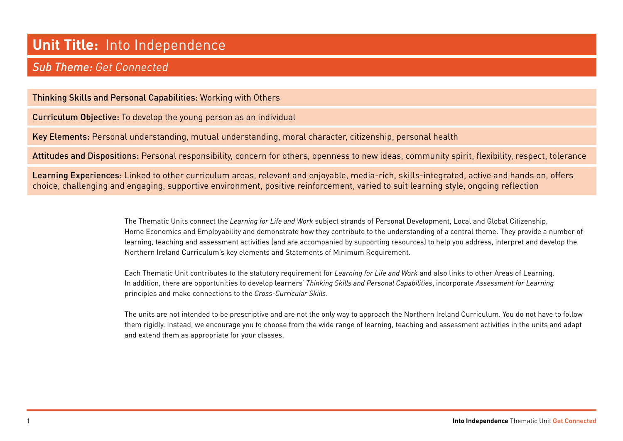# **Unit Title:** Into Independence

## *Sub Theme: Get Connected*

Thinking Skills and Personal Capabilities: Working with Others

Curriculum Objective: To develop the young person as an individual

Key Elements: Personal understanding, mutual understanding, moral character, citizenship, personal health

Attitudes and Dispositions: Personal responsibility, concern for others, openness to new ideas, community spirit, flexibility, respect, tolerance

Learning Experiences: Linked to other curriculum areas, relevant and enjoyable, media-rich, skills-integrated, active and hands on, offers choice, challenging and engaging, supportive environment, positive reinforcement, varied to suit learning style, ongoing reflection

> The Thematic Units connect the *Learning for Life and Work* subject strands of Personal Development, Local and Global Citizenship, Home Economics and Employability and demonstrate how they contribute to the understanding of a central theme. They provide a number of learning, teaching and assessment activities (and are accompanied by supporting resources) to help you address, interpret and develop the Northern Ireland Curriculum's key elements and Statements of Minimum Requirement.

Each Thematic Unit contributes to the statutory requirement for *Learning for Life and Work* and also links to other Areas of Learning. In addition, there are opportunities to develop learners' *Thinking Skills and Personal Capabilities*, incorporate *Assessment for Learning* principles and make connections to the *Cross-Curricular Skills*.

The units are not intended to be prescriptive and are not the only way to approach the Northern Ireland Curriculum. You do not have to follow them rigidly. Instead, we encourage you to choose from the wide range of learning, teaching and assessment activities in the units and adapt and extend them as appropriate for your classes.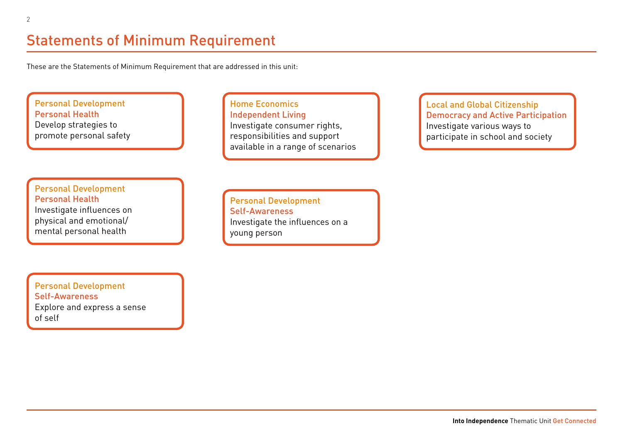# Statements of Minimum Requirement

These are the Statements of Minimum Requirement that are addressed in this unit:

#### Personal Development Personal Health Develop strategies to promote personal safety

Home Economics Independent Living Investigate consumer rights, responsibilities and support available in a range of scenarios

Personal Development Personal Health Investigate influences on physical and emotional/ mental personal health

Personal Development Self-Awareness Investigate the influences on a young person

Local and Global Citizenship Democracy and Active Participation Investigate various ways to participate in school and society

Personal Development Self-Awareness Explore and express a sense of self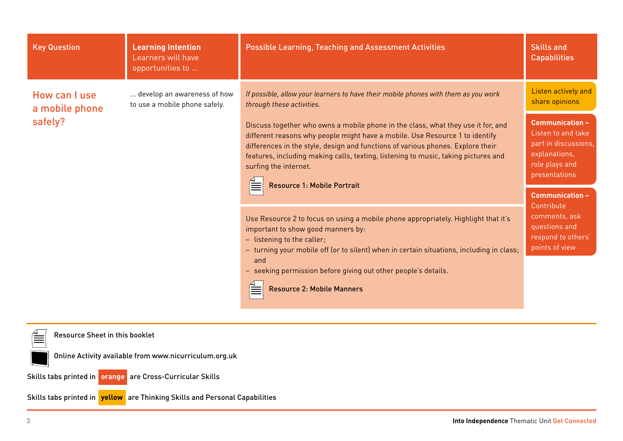| <b>Key Question</b>             | <b>Learning Intention</b><br>Learners will have<br>opportunities to | <b>Possible Learning, Teaching and Assessment Activities</b>                                                                                                                                                                                                                                                                                                                                             | <b>Skills and</b><br><b>Capabilities</b>                                                                                 |
|---------------------------------|---------------------------------------------------------------------|----------------------------------------------------------------------------------------------------------------------------------------------------------------------------------------------------------------------------------------------------------------------------------------------------------------------------------------------------------------------------------------------------------|--------------------------------------------------------------------------------------------------------------------------|
| How can I use<br>a mobile phone | develop an awareness of how<br>to use a mobile phone safely.        | If possible, allow your learners to have their mobile phones with them as you work<br>through these activities.                                                                                                                                                                                                                                                                                          | Listen actively and<br>share opinions                                                                                    |
| safely?                         |                                                                     | Discuss together who owns a mobile phone in the class, what they use it for, and<br>different reasons why people might have a mobile. Use Resource 1 to identify<br>differences in the style, design and functions of various phones. Explore their<br>features, including making calls, texting, listening to music, taking pictures and<br>surfing the internet.<br><b>Resource 1: Mobile Portrait</b> | <b>Communication -</b><br>Listen to and take<br>part in discussions,<br>explanations,<br>role plays and<br>presentations |
|                                 |                                                                     | Use Resource 2 to focus on using a mobile phone appropriately. Highlight that it's<br>important to show good manners by:<br>- listening to the caller;<br>- turning your mobile off (or to silent) when in certain situations, including in class;<br>and<br>- seeking permission before giving out other people's details.<br><b>Resource 2: Mobile Manners</b><br>≣                                    | <b>Communication -</b><br>Contribute<br>comments, ask<br>questions and<br>respond to others'<br>points of view           |

Resource Sheet in this booklet

Online Activity available from www.nicurriculum.org.uk

Skills tabs printed in **orange** are Cross-Curricular Skills

Skills tabs printed in **yellow** are Thinking Skills and Personal Capabilities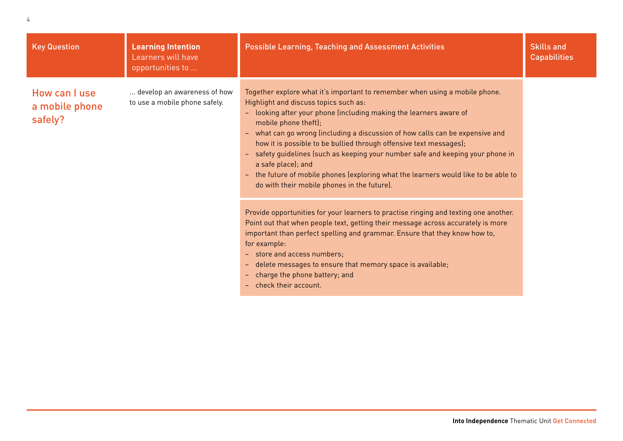| <b>Key Question</b>                        | <b>Learning Intention</b><br>Learners will have<br>opportunities to | <b>Possible Learning, Teaching and Assessment Activities</b>                                                                                                                                                                                                                                                                                                                                                                                                                                                                                                                                                                                                                                                                                                                                                                                                                                                                                                                                     | <b>Skills and</b><br><b>Capabilities</b> |
|--------------------------------------------|---------------------------------------------------------------------|--------------------------------------------------------------------------------------------------------------------------------------------------------------------------------------------------------------------------------------------------------------------------------------------------------------------------------------------------------------------------------------------------------------------------------------------------------------------------------------------------------------------------------------------------------------------------------------------------------------------------------------------------------------------------------------------------------------------------------------------------------------------------------------------------------------------------------------------------------------------------------------------------------------------------------------------------------------------------------------------------|------------------------------------------|
| How can I use<br>a mobile phone<br>safely? | develop an awareness of how<br>to use a mobile phone safely.        | Together explore what it's important to remember when using a mobile phone.<br>Highlight and discuss topics such as:<br>- looking after your phone (including making the learners aware of<br>mobile phone theft);<br>- what can go wrong (including a discussion of how calls can be expensive and<br>how it is possible to be bullied through offensive text messages);<br>- safety guidelines (such as keeping your number safe and keeping your phone in<br>a safe place); and<br>- the future of mobile phones (exploring what the learners would like to be able to<br>do with their mobile phones in the future).<br>Provide opportunities for your learners to practise ringing and texting one another.<br>Point out that when people text, getting their message across accurately is more<br>important than perfect spelling and grammar. Ensure that they know how to,<br>for example:<br>- store and access numbers;<br>- delete messages to ensure that memory space is available; |                                          |
|                                            |                                                                     | - charge the phone battery; and<br>- check their account.                                                                                                                                                                                                                                                                                                                                                                                                                                                                                                                                                                                                                                                                                                                                                                                                                                                                                                                                        |                                          |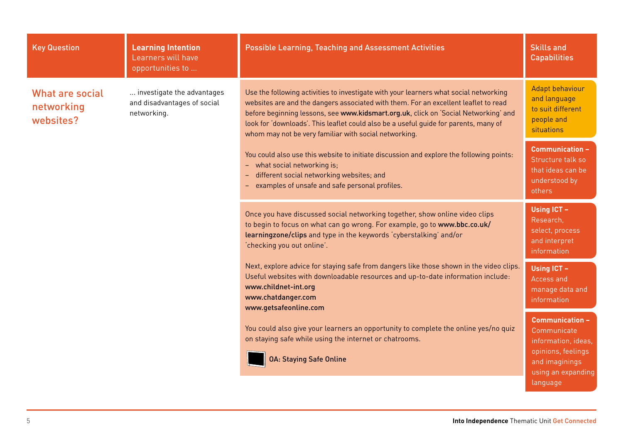| <b>Key Question</b>                        | <b>Learning Intention</b><br>Learners will have<br>opportunities to      | <b>Possible Learning, Teaching and Assessment Activities</b>                                                                                                                                                                                                                                                                                                                                                         | <b>Skills and</b><br><b>Capabilities</b>                                                                                               |
|--------------------------------------------|--------------------------------------------------------------------------|----------------------------------------------------------------------------------------------------------------------------------------------------------------------------------------------------------------------------------------------------------------------------------------------------------------------------------------------------------------------------------------------------------------------|----------------------------------------------------------------------------------------------------------------------------------------|
| What are social<br>networking<br>websites? | investigate the advantages<br>and disadvantages of social<br>networking. | Use the following activities to investigate with your learners what social networking<br>websites are and the dangers associated with them. For an excellent leaflet to read<br>before beginning lessons, see www.kidsmart.org.uk, click on 'Social Networking' and<br>look for 'downloads'. This leaflet could also be a useful guide for parents, many of<br>whom may not be very familiar with social networking. | Adapt behaviour<br>and language<br>to suit different<br>people and<br><b>situations</b>                                                |
|                                            |                                                                          | You could also use this website to initiate discussion and explore the following points:<br>- what social networking is;<br>different social networking websites; and<br>examples of unsafe and safe personal profiles.                                                                                                                                                                                              | <b>Communication -</b><br>Structure talk so<br>that ideas can be<br>understood by<br>others                                            |
|                                            |                                                                          | Once you have discussed social networking together, show online video clips<br>to begin to focus on what can go wrong. For example, go to www.bbc.co.uk/<br>learningzone/clips and type in the keywords 'cyberstalking' and/or<br>'checking you out online'.                                                                                                                                                         | Using ICT -<br>Research,<br>select, process<br>and interpret<br>information                                                            |
|                                            |                                                                          | Next, explore advice for staying safe from dangers like those shown in the video clips.<br>Useful websites with downloadable resources and up-to-date information include:<br>www.childnet-int.org<br>www.chatdanger.com<br>www.getsafeonline.com                                                                                                                                                                    | Using ICT -<br>Access and<br>manage data and<br>information                                                                            |
|                                            |                                                                          | You could also give your learners an opportunity to complete the online yes/no quiz<br>on staying safe while using the internet or chatrooms.<br><b>OA: Staying Safe Online</b>                                                                                                                                                                                                                                      | <b>Communication -</b><br>Communicate<br>information, ideas,<br>opinions, feelings<br>and imaginings<br>using an expanding<br>language |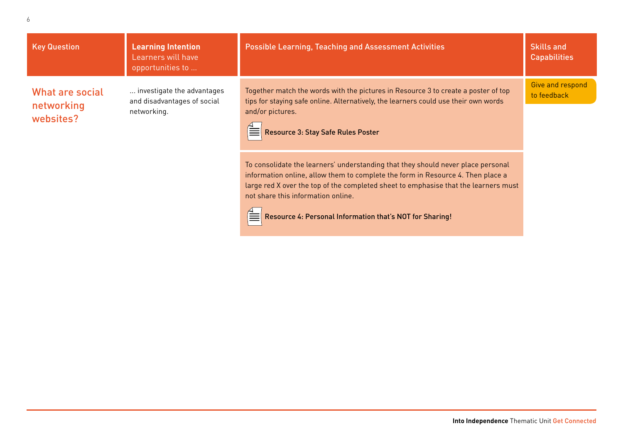| <b>Key Question</b>                        | <b>Learning Intention</b><br>Learners will have<br>opportunities to      | <b>Possible Learning, Teaching and Assessment Activities</b>                                                                                                                                                                                                                                                                                                 | <b>Skills and</b><br><b>Capabilities</b> |
|--------------------------------------------|--------------------------------------------------------------------------|--------------------------------------------------------------------------------------------------------------------------------------------------------------------------------------------------------------------------------------------------------------------------------------------------------------------------------------------------------------|------------------------------------------|
| What are social<br>networking<br>websites? | investigate the advantages<br>and disadvantages of social<br>networking. | Together match the words with the pictures in Resource 3 to create a poster of top<br>tips for staying safe online. Alternatively, the learners could use their own words<br>and/or pictures.<br>Resource 3: Stay Safe Rules Poster                                                                                                                          | Give and respond<br>to feedback          |
|                                            |                                                                          | To consolidate the learners' understanding that they should never place personal<br>information online, allow them to complete the form in Resource 4. Then place a<br>large red X over the top of the completed sheet to emphasise that the learners must<br>not share this information online.<br>Resource 4: Personal Information that's NOT for Sharing! |                                          |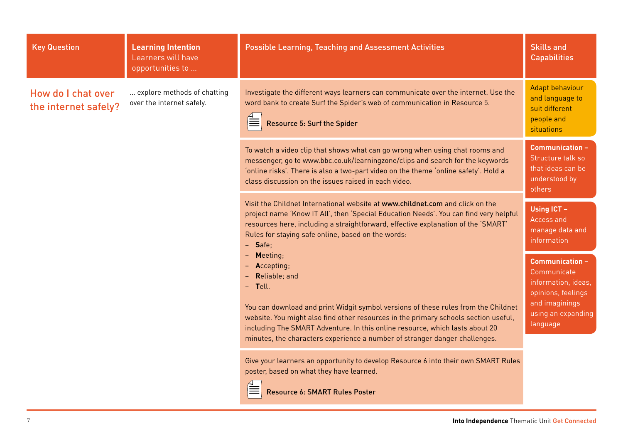| <b>Key Question</b>                        | <b>Learning Intention</b><br>Learners will have<br>opportunities to | <b>Possible Learning, Teaching and Assessment Activities</b>                                                                                                                                                                                                                                                                                                                                  | <b>Skills and</b><br><b>Capabilities</b>                                                                                               |
|--------------------------------------------|---------------------------------------------------------------------|-----------------------------------------------------------------------------------------------------------------------------------------------------------------------------------------------------------------------------------------------------------------------------------------------------------------------------------------------------------------------------------------------|----------------------------------------------------------------------------------------------------------------------------------------|
| How do I chat over<br>the internet safely? | explore methods of chatting<br>over the internet safely.            | Investigate the different ways learners can communicate over the internet. Use the<br>word bank to create Surf the Spider's web of communication in Resource 5.<br><b>Resource 5: Surf the Spider</b>                                                                                                                                                                                         | Adapt behaviour<br>and language to<br>suit different<br>people and<br>situations                                                       |
|                                            |                                                                     | To watch a video clip that shows what can go wrong when using chat rooms and<br>messenger, go to www.bbc.co.uk/learningzone/clips and search for the keywords<br>'online risks'. There is also a two-part video on the theme 'online safety'. Hold a<br>class discussion on the issues raised in each video.                                                                                  | <b>Communication -</b><br>Structure talk so<br>that ideas can be<br>understood by<br>others                                            |
|                                            |                                                                     | Visit the Childnet International website at www.childnet.com and click on the<br>project name 'Know IT All', then 'Special Education Needs'. You can find very helpful<br>resources here, including a straightforward, effective explanation of the 'SMART'<br>Rules for staying safe online, based on the words:<br>$-$ Safe;                                                                | Using ICT -<br>Access and<br>manage data and<br>information                                                                            |
|                                            |                                                                     | Meeting;<br>Accepting;<br>Reliable; and<br>- Tell.<br>You can download and print Widgit symbol versions of these rules from the Childnet<br>website. You might also find other resources in the primary schools section useful,<br>including The SMART Adventure. In this online resource, which lasts about 20<br>minutes, the characters experience a number of stranger danger challenges. | <b>Communication -</b><br>Communicate<br>information, ideas,<br>opinions, feelings<br>and imaginings<br>using an expanding<br>language |
|                                            |                                                                     | Give your learners an opportunity to develop Resource 6 into their own SMART Rules<br>poster, based on what they have learned.<br>Resource 6: SMART Rules Poster                                                                                                                                                                                                                              |                                                                                                                                        |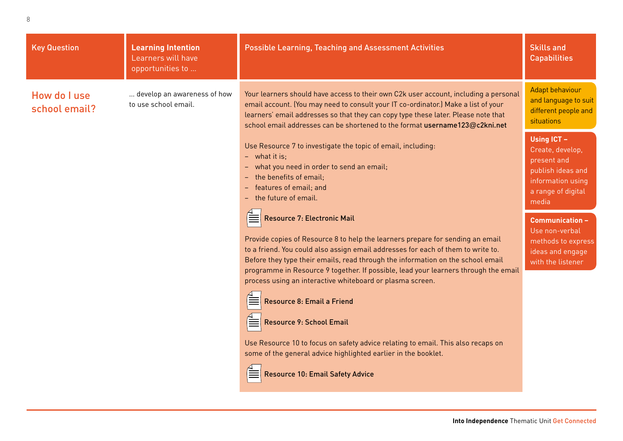| <b>Key Question</b>           | <b>Learning Intention</b><br>Learners will have<br>opportunities to | <b>Possible Learning, Teaching and Assessment Activities</b>                                                                                                                                                                                                                                                                                                                                                                                                                                                                                                                                                                                                                                                                                                                                                                                                                                                            | <b>Skills and</b><br><b>Capabilities</b>                                                                                                                                                                                                  |
|-------------------------------|---------------------------------------------------------------------|-------------------------------------------------------------------------------------------------------------------------------------------------------------------------------------------------------------------------------------------------------------------------------------------------------------------------------------------------------------------------------------------------------------------------------------------------------------------------------------------------------------------------------------------------------------------------------------------------------------------------------------------------------------------------------------------------------------------------------------------------------------------------------------------------------------------------------------------------------------------------------------------------------------------------|-------------------------------------------------------------------------------------------------------------------------------------------------------------------------------------------------------------------------------------------|
| How do I use<br>school email? | develop an awareness of how<br>to use school email.                 | Your learners should have access to their own C2k user account, including a personal<br>email account. (You may need to consult your IT co-ordinator.) Make a list of your<br>learners' email addresses so that they can copy type these later. Please note that<br>school email addresses can be shortened to the format username123@c2kni.net                                                                                                                                                                                                                                                                                                                                                                                                                                                                                                                                                                         | <b>Adapt behaviour</b><br>and language to suit<br>different people and<br>situations                                                                                                                                                      |
|                               |                                                                     | Use Resource 7 to investigate the topic of email, including:<br>$-$ what it is:<br>- what you need in order to send an email;<br>the benefits of email:<br>features of email; and<br>the future of email.<br><b>Resource 7: Electronic Mail</b><br>Provide copies of Resource 8 to help the learners prepare for sending an email<br>to a friend. You could also assign email addresses for each of them to write to.<br>Before they type their emails, read through the information on the school email<br>programme in Resource 9 together. If possible, lead your learners through the email<br>process using an interactive whiteboard or plasma screen.<br>Resource 8: Email a Friend<br>Resource 9: School Email<br>Use Resource 10 to focus on safety advice relating to email. This also recaps on<br>some of the general advice highlighted earlier in the booklet.<br><b>Resource 10: Email Safety Advice</b> | <b>Using ICT -</b><br>Create, develop,<br>present and<br>publish ideas and<br>information using<br>a range of digital<br>media<br><b>Communication -</b><br>Use non-verbal<br>methods to express<br>ideas and engage<br>with the listener |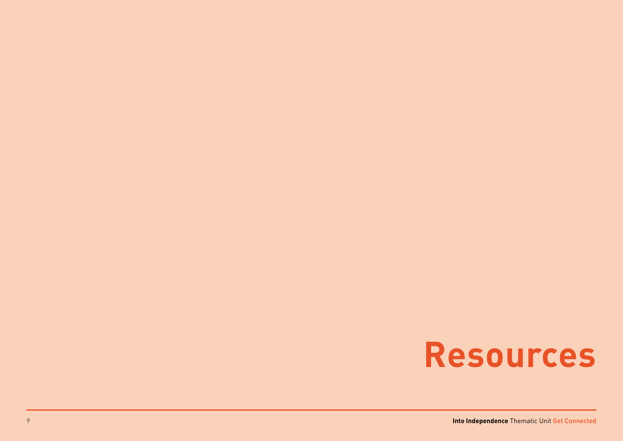# **Resources**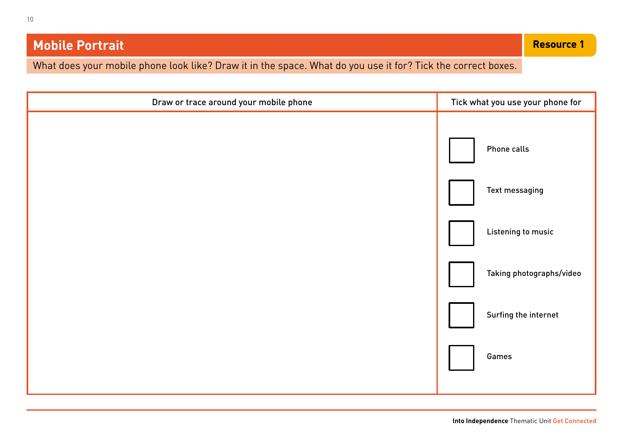# **Mobile Portrait**

What does your mobile phone look like? Draw it in the space. What do you use it for? Tick the correct boxes.

| Draw or trace around your mobile phone | Tick what you use your phone for |
|----------------------------------------|----------------------------------|
|                                        | Phone calls                      |
|                                        | Text messaging                   |
|                                        | Listening to music               |
|                                        | Taking photographs/video         |
|                                        | Surfing the internet             |
|                                        | Games                            |
|                                        |                                  |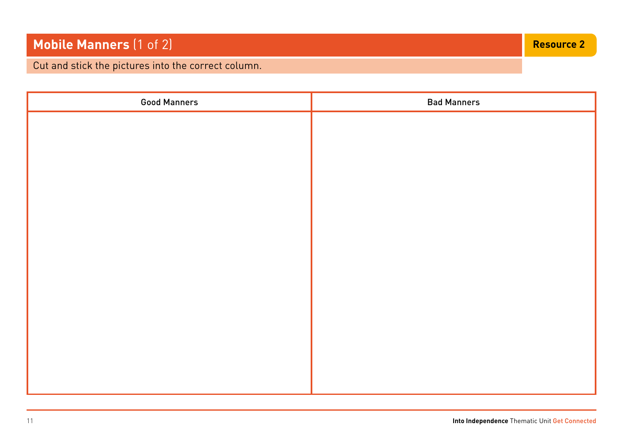# **Mobile Manners** (1 of 2) **Resource 2 Resource 2 Resource 2 Resource 2**

Cut and stick the pictures into the correct column.

| <b>Good Manners</b> | <b>Bad Manners</b> |
|---------------------|--------------------|
|                     |                    |
|                     |                    |
|                     |                    |
|                     |                    |
|                     |                    |
|                     |                    |
|                     |                    |
|                     |                    |
|                     |                    |
|                     |                    |
|                     |                    |
|                     |                    |
|                     |                    |
|                     |                    |
|                     |                    |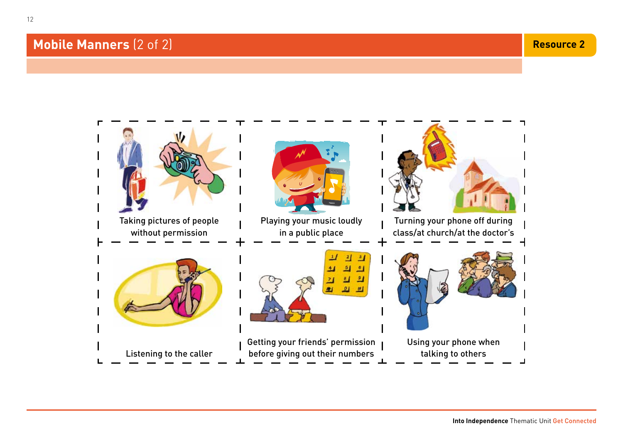# **Mobile Manners** (2 of 2) **Resource 2 Resource 2 Resource 2 Resource 2 Resource 2**

12

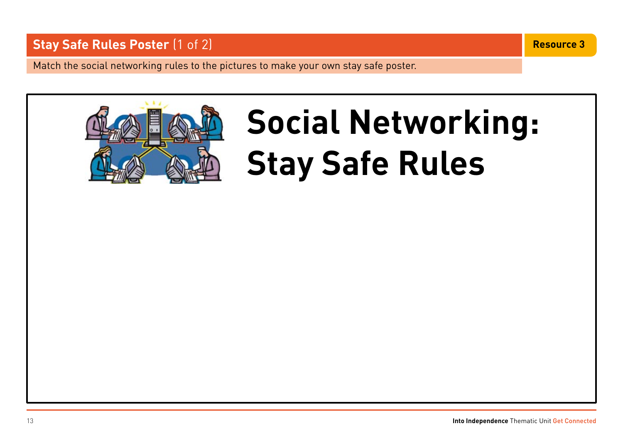# **Stay Safe Rules Poster** (1 of 2) **Resource 3 Resource 3 Resource 3**

Match the social networking rules to the pictures to make your own stay safe poster.



# **Social Networking: Stay Safe Rules**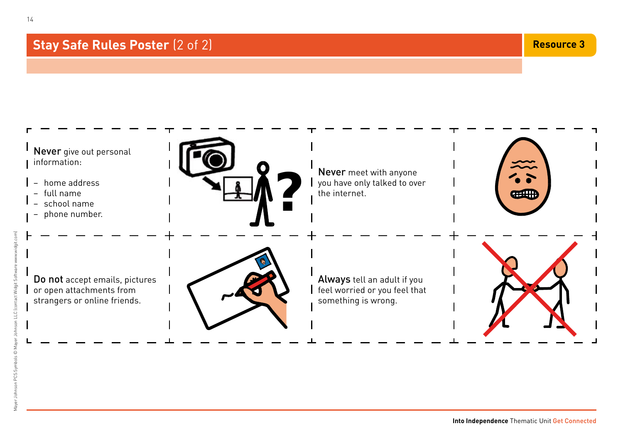# **Stay Safe Rules Poster** (2 of 2) **Resource 3 Resource 3 Resource 3**



14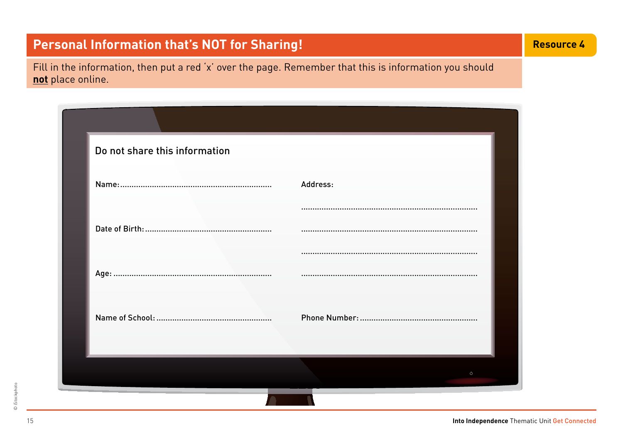# **Personal Information that's NOT for Sharing!** And the state of the second that a second that  $\sim$  4

Fill in the information, then put a red 'x' over the page. Remember that this is information you should **not** place online.

| Do not share this information | Address:       |
|-------------------------------|----------------|
|                               |                |
|                               |                |
|                               |                |
|                               |                |
|                               |                |
|                               |                |
|                               |                |
|                               | $\binom{1}{2}$ |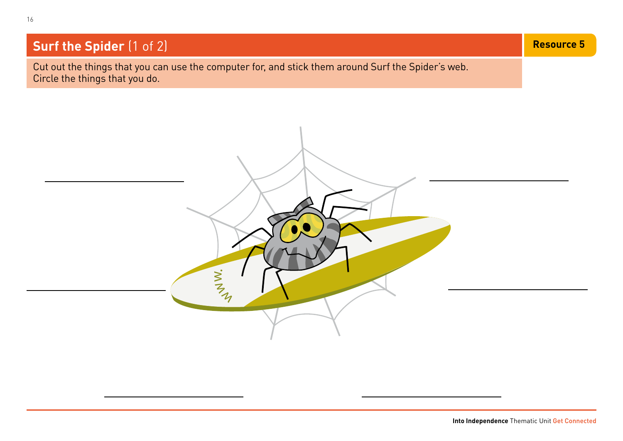# **Surf the Spider** (1 of 2) **Resource 5** (1 of 2) **Resource 5** (1 of 2) **Resource 5** (1 of 2) **Resource 5**

Cut out the things that you can use the computer for, and stick them around Surf the Spider's web. Circle the things that you do.

WWW.

16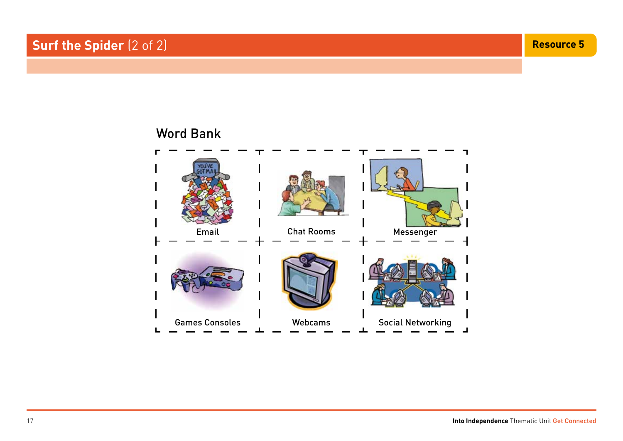# Email Chat Rooms Messenger Games Consoles **Social Networking** Cames Consoles **Networking** Word Bank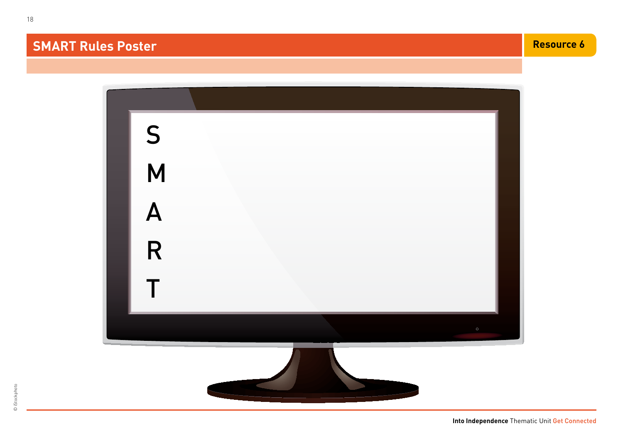# **SMART Rules Poster Resource 6 Resource 6 Resource 6 Resource 6 Resource 6 Resource 6**

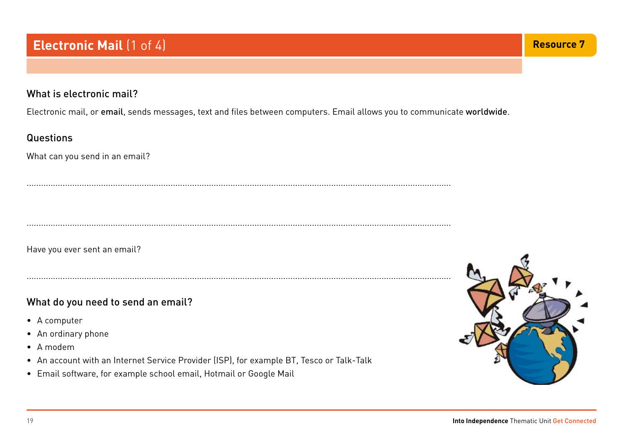#### What is electronic mail?

Electronic mail, or email, sends messages, text and files between computers. Email allows you to communicate worldwide.

.................................................................................................................................................................................

#### **Questions**

What can you send in an email?

.................................................................................................................................................................................

Have you ever sent an email?

#### What do you need to send an email?

- A computer
- An ordinary phone
- • A modem
- An account with an Internet Service Provider (ISP), for example BT, Tesco or Talk-Talk

.................................................................................................................................................................................

• Email software, for example school email, Hotmail or Google Mail

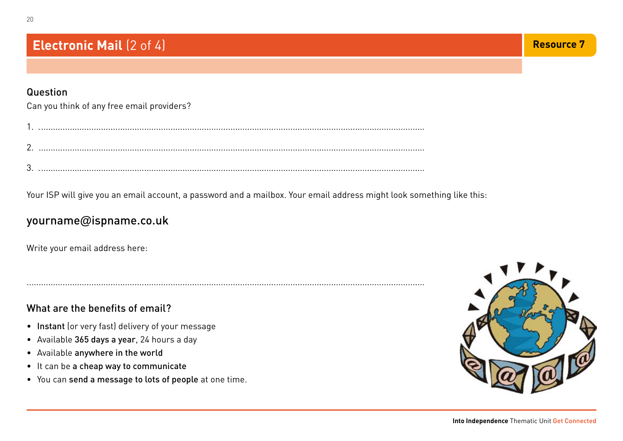#### Question

20

|  | Can you think of any free email providers? |
|--|--------------------------------------------|
|  |                                            |

......................................................................................................................................................................

Your ISP will give you an email account, a password and a mailbox. Your email address might look something like this:

# yourname**@**ispname.co.uk

Write your email address here:

#### What are the benefits of email?

- Instant (or very fast) delivery of your message
- Available 365 days a year, 24 hours a day
- Available anywhere in the world
- It can be a cheap way to communicate
- • You can send a message to lots of people at one time.

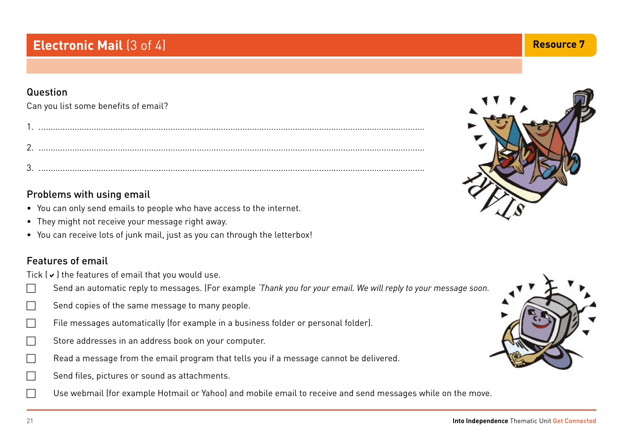# **Electronic Mail** (3 of 4) **Resource 7 Resource 7 Resource 7 Resource 7**

#### Question

Can you list some benefits of email?

#### Problems with using email

- You can only send emails to people who have access to the internet.
- They might not receive your message right away.
- You can receive lots of junk mail, just as you can through the letterbox!

## Features of email

Tick  $(\vee)$  the features of email that you would use.

- c Send an automatic reply to messages. (For example *'Thank you for your email. We will reply to your message soon.*
- $\Box$  Send copies of the same message to many people.
- $\Box$  File messages automatically (for example in a business folder or personal folder).
- $\Box$  Store addresses in an address book on your computer.
- $\Box$  Read a message from the email program that tells you if a message cannot be delivered.
- $\Box$  Send files, pictures or sound as attachments.
	- Use webmail (for example Hotmail or Yahoo) and mobile email to receive and send messages while on the move.





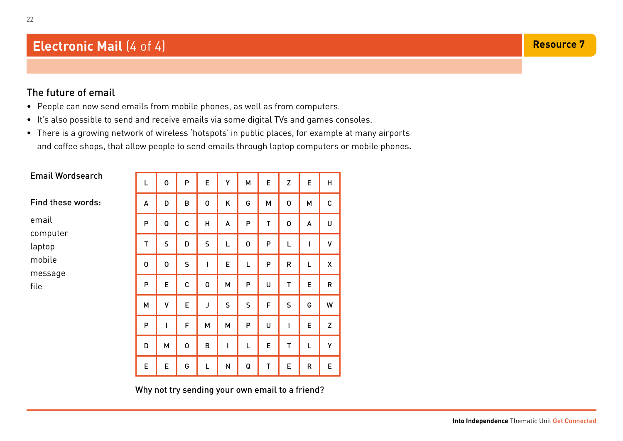# **Electronic Mail** (4 of 4) **Resource 7** (4 of 4) **Resource 7** (4 of 4)

#### The future of email

22

- People can now send emails from mobile phones, as well as from computers.
- It's also possible to send and receive emails via some digital TVs and games consoles.
- There is a growing network of wireless 'hotspots' in public places, for example at many airports and coffee shops, that allow people to send emails through laptop computers or mobile phones.

| <b>Email Wordsearch</b>                                  |   |              |             |              |              |              |              |             |           |              |
|----------------------------------------------------------|---|--------------|-------------|--------------|--------------|--------------|--------------|-------------|-----------|--------------|
|                                                          | L | G            | P           | E            | Y            | M            | E            | Z           | E         | H            |
| Find these words:                                        | A | D            | B           | 0            | Κ            | G            | M            | $\mathbf 0$ | M         | $\mathbf C$  |
| email<br>computer<br>laptop<br>mobile<br>message<br>file | P | Q            | C           | H            | A            | P            | $\mathsf{T}$ | $\mathbf 0$ | A         | U            |
|                                                          | T | $\mathsf{S}$ | D           | $\mathsf{S}$ | L            | $\mathbf 0$  | P            | L           | ı         | V            |
|                                                          | 0 | $\mathbf 0$  | S           | $\mathbf{I}$ | E            | L            | ${\sf P}$    | $\mathsf R$ | L         | X            |
|                                                          | P | E            | $\mathbf c$ | $\mathbf 0$  | M            | P            | U            | T           | E         | $\mathsf{R}$ |
|                                                          | M | V            | E           | J            | $\mathsf{S}$ | $\mathsf{S}$ | F            | S           | G         | W            |
|                                                          | P | I            | F           | M            | M            | $\mathsf{P}$ | U            | I           | E         | Z            |
|                                                          | D | M            | $\mathbf 0$ | B            | I            | L            | E            | T           | L         | Υ            |
|                                                          | E | E            | G           | Г            | ${\sf N}$    | Q            | $\mathsf T$  | E           | ${\sf R}$ | E            |

Why not try sending your own email to a friend?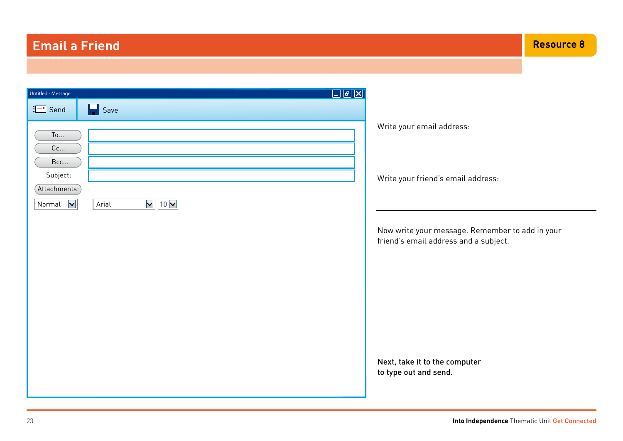# **Email a Friend**

| $\boxed{\mathbb{Z}$ $\boxed{\mathbb{B} \mid \mathbb{Z} \mid}$<br>Untitled - Message                                   |                                                                                                                                                                                                                       |
|-----------------------------------------------------------------------------------------------------------------------|-----------------------------------------------------------------------------------------------------------------------------------------------------------------------------------------------------------------------|
| $\equiv$ Send<br>H<br>Save                                                                                            |                                                                                                                                                                                                                       |
| To<br>Cc<br>Bcc<br>Subject:<br>(Attachments.)<br>$\nabla$ 10 $\nabla$<br>Normal $\boxed{\blacktriangledown}$<br>Arial | Write your email address:<br>Write your friend's email address:<br>Now write your message. Remember to add in your<br>friend's email address and a subject.<br>Next, take it to the computer<br>to type out and send. |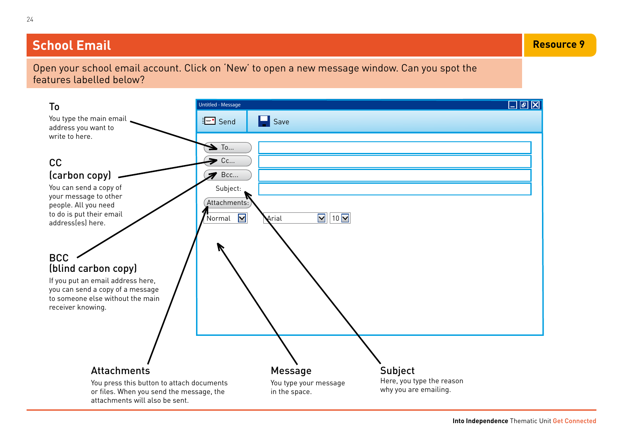# **School Email Resource 9**

Open your school email account. Click on 'New' to open a new message window. Can you spot the features labelled below?

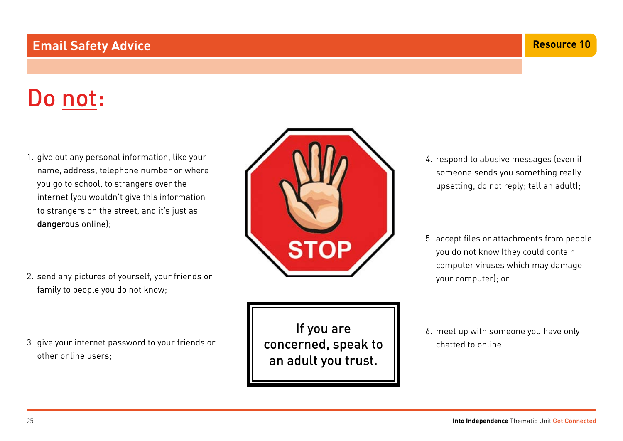## **Email Safety Advice**

# Do not:

- 1. give out any personal information, like your name, address, telephone number or where you go to school, to strangers over the internet (you wouldn't give this information to strangers on the street, and it's just as dangerous online);
- 2. send any pictures of yourself, your friends or family to people you do not know;
- 3. give your internet password to your friends or other online users;

If you are concerned, speak to an adult you trust.

- 4. respond to abusive messages (even if someone sends you something really upsetting, do not reply; tell an adult);
- 5. accept files or attachments from people you do not know (they could contain computer viruses which may damage your computer); or
- 6. meet up with someone you have only chatted to online.